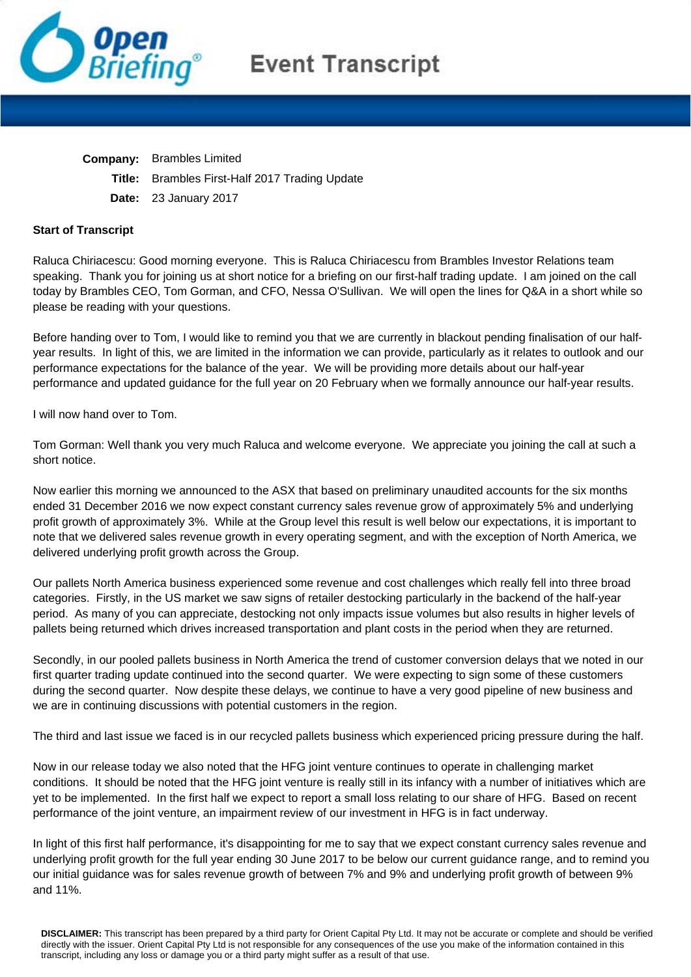

## **Event Transcript**

**Company:** Brambles Limited

- **Title:** Brambles First-Half 2017 Trading Update
- **Date:** 23 January 2017

## **Start of Transcript**

Raluca Chiriacescu: Good morning everyone. This is Raluca Chiriacescu from Brambles Investor Relations team speaking. Thank you for joining us at short notice for a briefing on our first-half trading update. I am joined on the call today by Brambles CEO, Tom Gorman, and CFO, Nessa O'Sullivan. We will open the lines for Q&A in a short while so please be reading with your questions.

Before handing over to Tom, I would like to remind you that we are currently in blackout pending finalisation of our halfyear results. In light of this, we are limited in the information we can provide, particularly as it relates to outlook and our performance expectations for the balance of the year. We will be providing more details about our half-year performance and updated guidance for the full year on 20 February when we formally announce our half-year results.

I will now hand over to Tom.

Tom Gorman: Well thank you very much Raluca and welcome everyone. We appreciate you joining the call at such a short notice.

Now earlier this morning we announced to the ASX that based on preliminary unaudited accounts for the six months ended 31 December 2016 we now expect constant currency sales revenue grow of approximately 5% and underlying profit growth of approximately 3%. While at the Group level this result is well below our expectations, it is important to note that we delivered sales revenue growth in every operating segment, and with the exception of North America, we delivered underlying profit growth across the Group.

Our pallets North America business experienced some revenue and cost challenges which really fell into three broad categories. Firstly, in the US market we saw signs of retailer destocking particularly in the backend of the half-year period. As many of you can appreciate, destocking not only impacts issue volumes but also results in higher levels of pallets being returned which drives increased transportation and plant costs in the period when they are returned.

Secondly, in our pooled pallets business in North America the trend of customer conversion delays that we noted in our first quarter trading update continued into the second quarter. We were expecting to sign some of these customers during the second quarter. Now despite these delays, we continue to have a very good pipeline of new business and we are in continuing discussions with potential customers in the region.

The third and last issue we faced is in our recycled pallets business which experienced pricing pressure during the half.

Now in our release today we also noted that the HFG joint venture continues to operate in challenging market conditions. It should be noted that the HFG joint venture is really still in its infancy with a number of initiatives which are yet to be implemented. In the first half we expect to report a small loss relating to our share of HFG. Based on recent performance of the joint venture, an impairment review of our investment in HFG is in fact underway.

In light of this first half performance, it's disappointing for me to say that we expect constant currency sales revenue and underlying profit growth for the full year ending 30 June 2017 to be below our current guidance range, and to remind you our initial guidance was for sales revenue growth of between 7% and 9% and underlying profit growth of between 9% and 11%.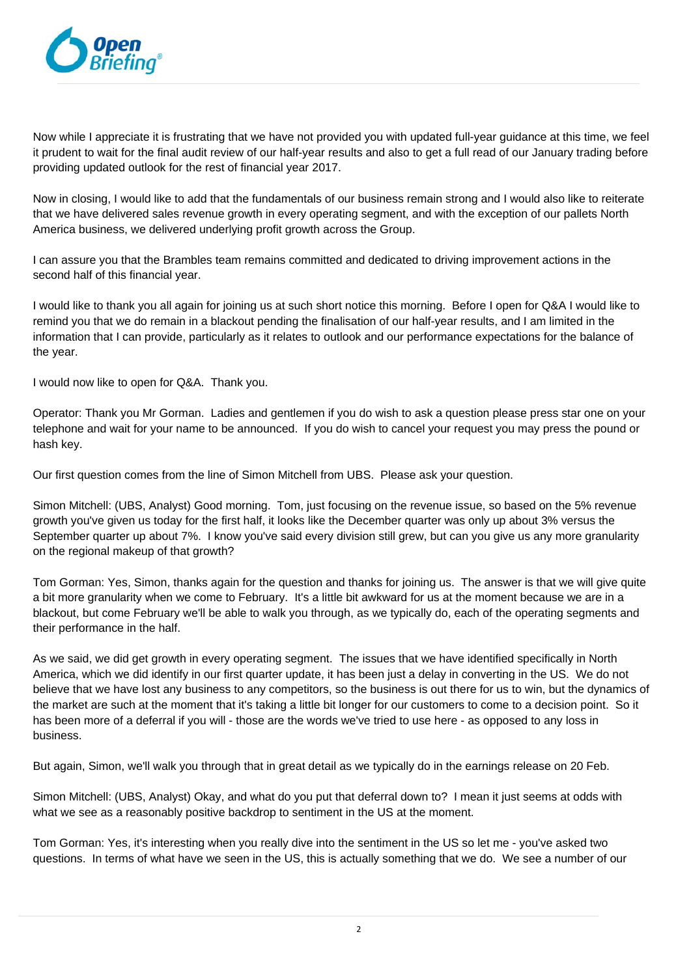

Now while I appreciate it is frustrating that we have not provided you with updated full-year guidance at this time, we feel it prudent to wait for the final audit review of our half-year results and also to get a full read of our January trading before providing updated outlook for the rest of financial year 2017.

Now in closing, I would like to add that the fundamentals of our business remain strong and I would also like to reiterate that we have delivered sales revenue growth in every operating segment, and with the exception of our pallets North America business, we delivered underlying profit growth across the Group.

I can assure you that the Brambles team remains committed and dedicated to driving improvement actions in the second half of this financial year.

I would like to thank you all again for joining us at such short notice this morning. Before I open for Q&A I would like to remind you that we do remain in a blackout pending the finalisation of our half-year results, and I am limited in the information that I can provide, particularly as it relates to outlook and our performance expectations for the balance of the year.

I would now like to open for Q&A. Thank you.

Operator: Thank you Mr Gorman. Ladies and gentlemen if you do wish to ask a question please press star one on your telephone and wait for your name to be announced. If you do wish to cancel your request you may press the pound or hash key.

Our first question comes from the line of Simon Mitchell from UBS. Please ask your question.

Simon Mitchell: (UBS, Analyst) Good morning. Tom, just focusing on the revenue issue, so based on the 5% revenue growth you've given us today for the first half, it looks like the December quarter was only up about 3% versus the September quarter up about 7%. I know you've said every division still grew, but can you give us any more granularity on the regional makeup of that growth?

Tom Gorman: Yes, Simon, thanks again for the question and thanks for joining us. The answer is that we will give quite a bit more granularity when we come to February. It's a little bit awkward for us at the moment because we are in a blackout, but come February we'll be able to walk you through, as we typically do, each of the operating segments and their performance in the half.

As we said, we did get growth in every operating segment. The issues that we have identified specifically in North America, which we did identify in our first quarter update, it has been just a delay in converting in the US. We do not believe that we have lost any business to any competitors, so the business is out there for us to win, but the dynamics of the market are such at the moment that it's taking a little bit longer for our customers to come to a decision point. So it has been more of a deferral if you will - those are the words we've tried to use here - as opposed to any loss in business.

But again, Simon, we'll walk you through that in great detail as we typically do in the earnings release on 20 Feb.

Simon Mitchell: (UBS, Analyst) Okay, and what do you put that deferral down to? I mean it just seems at odds with what we see as a reasonably positive backdrop to sentiment in the US at the moment.

Tom Gorman: Yes, it's interesting when you really dive into the sentiment in the US so let me - you've asked two questions. In terms of what have we seen in the US, this is actually something that we do. We see a number of our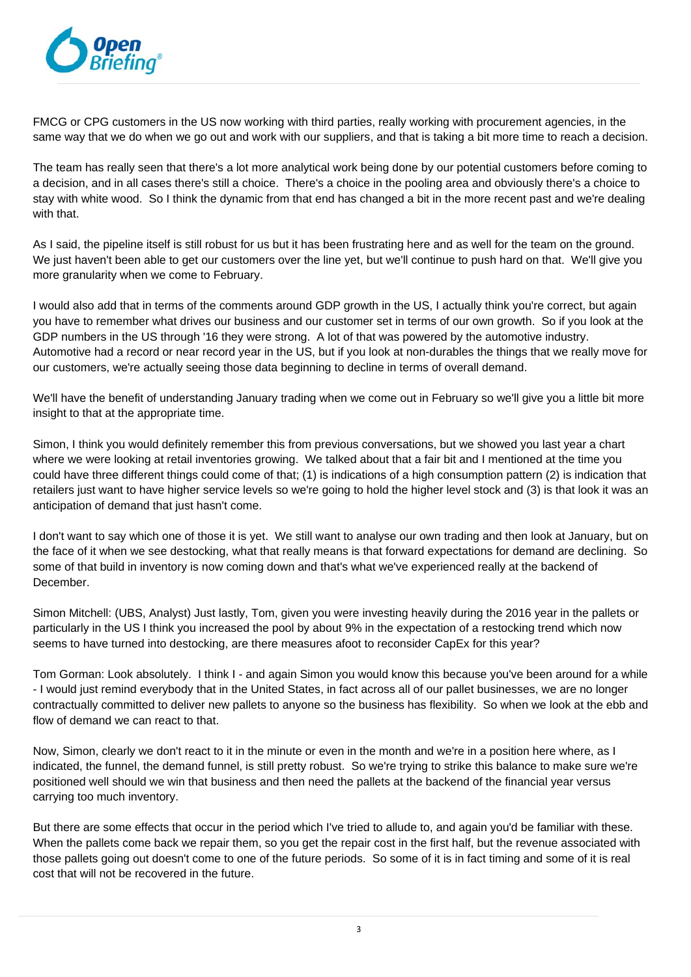

FMCG or CPG customers in the US now working with third parties, really working with procurement agencies, in the same way that we do when we go out and work with our suppliers, and that is taking a bit more time to reach a decision.

The team has really seen that there's a lot more analytical work being done by our potential customers before coming to a decision, and in all cases there's still a choice. There's a choice in the pooling area and obviously there's a choice to stay with white wood. So I think the dynamic from that end has changed a bit in the more recent past and we're dealing with that.

As I said, the pipeline itself is still robust for us but it has been frustrating here and as well for the team on the ground. We just haven't been able to get our customers over the line yet, but we'll continue to push hard on that. We'll give you more granularity when we come to February.

I would also add that in terms of the comments around GDP growth in the US, I actually think you're correct, but again you have to remember what drives our business and our customer set in terms of our own growth. So if you look at the GDP numbers in the US through '16 they were strong. A lot of that was powered by the automotive industry. Automotive had a record or near record year in the US, but if you look at non-durables the things that we really move for our customers, we're actually seeing those data beginning to decline in terms of overall demand.

We'll have the benefit of understanding January trading when we come out in February so we'll give you a little bit more insight to that at the appropriate time.

Simon, I think you would definitely remember this from previous conversations, but we showed you last year a chart where we were looking at retail inventories growing. We talked about that a fair bit and I mentioned at the time you could have three different things could come of that; (1) is indications of a high consumption pattern (2) is indication that retailers just want to have higher service levels so we're going to hold the higher level stock and (3) is that look it was an anticipation of demand that just hasn't come.

I don't want to say which one of those it is yet. We still want to analyse our own trading and then look at January, but on the face of it when we see destocking, what that really means is that forward expectations for demand are declining. So some of that build in inventory is now coming down and that's what we've experienced really at the backend of December.

Simon Mitchell: (UBS, Analyst) Just lastly, Tom, given you were investing heavily during the 2016 year in the pallets or particularly in the US I think you increased the pool by about 9% in the expectation of a restocking trend which now seems to have turned into destocking, are there measures afoot to reconsider CapEx for this year?

Tom Gorman: Look absolutely. I think I - and again Simon you would know this because you've been around for a while - I would just remind everybody that in the United States, in fact across all of our pallet businesses, we are no longer contractually committed to deliver new pallets to anyone so the business has flexibility. So when we look at the ebb and flow of demand we can react to that.

Now, Simon, clearly we don't react to it in the minute or even in the month and we're in a position here where, as I indicated, the funnel, the demand funnel, is still pretty robust. So we're trying to strike this balance to make sure we're positioned well should we win that business and then need the pallets at the backend of the financial year versus carrying too much inventory.

But there are some effects that occur in the period which I've tried to allude to, and again you'd be familiar with these. When the pallets come back we repair them, so you get the repair cost in the first half, but the revenue associated with those pallets going out doesn't come to one of the future periods. So some of it is in fact timing and some of it is real cost that will not be recovered in the future.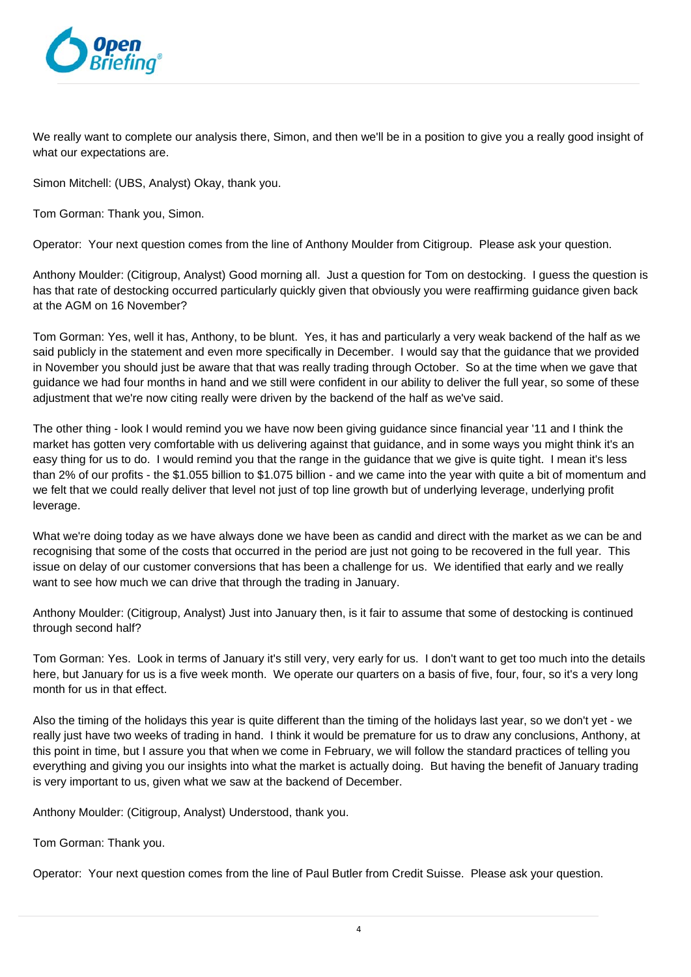

We really want to complete our analysis there. Simon, and then we'll be in a position to give you a really good insight of what our expectations are.

Simon Mitchell: (UBS, Analyst) Okay, thank you.

Tom Gorman: Thank you, Simon.

Operator: Your next question comes from the line of Anthony Moulder from Citigroup. Please ask your question.

Anthony Moulder: (Citigroup, Analyst) Good morning all. Just a question for Tom on destocking. I guess the question is has that rate of destocking occurred particularly quickly given that obviously you were reaffirming guidance given back at the AGM on 16 November?

Tom Gorman: Yes, well it has, Anthony, to be blunt. Yes, it has and particularly a very weak backend of the half as we said publicly in the statement and even more specifically in December. I would say that the guidance that we provided in November you should just be aware that that was really trading through October. So at the time when we gave that guidance we had four months in hand and we still were confident in our ability to deliver the full year, so some of these adjustment that we're now citing really were driven by the backend of the half as we've said.

The other thing - look I would remind you we have now been giving guidance since financial year '11 and I think the market has gotten very comfortable with us delivering against that guidance, and in some ways you might think it's an easy thing for us to do. I would remind you that the range in the guidance that we give is quite tight. I mean it's less than 2% of our profits - the \$1.055 billion to \$1.075 billion - and we came into the year with quite a bit of momentum and we felt that we could really deliver that level not just of top line growth but of underlying leverage, underlying profit leverage.

What we're doing today as we have always done we have been as candid and direct with the market as we can be and recognising that some of the costs that occurred in the period are just not going to be recovered in the full year. This issue on delay of our customer conversions that has been a challenge for us. We identified that early and we really want to see how much we can drive that through the trading in January.

Anthony Moulder: (Citigroup, Analyst) Just into January then, is it fair to assume that some of destocking is continued through second half?

Tom Gorman: Yes. Look in terms of January it's still very, very early for us. I don't want to get too much into the details here, but January for us is a five week month. We operate our quarters on a basis of five, four, four, so it's a very long month for us in that effect.

Also the timing of the holidays this year is quite different than the timing of the holidays last year, so we don't yet - we really just have two weeks of trading in hand. I think it would be premature for us to draw any conclusions, Anthony, at this point in time, but I assure you that when we come in February, we will follow the standard practices of telling you everything and giving you our insights into what the market is actually doing. But having the benefit of January trading is very important to us, given what we saw at the backend of December.

Anthony Moulder: (Citigroup, Analyst) Understood, thank you.

Tom Gorman: Thank you.

Operator: Your next question comes from the line of Paul Butler from Credit Suisse. Please ask your question.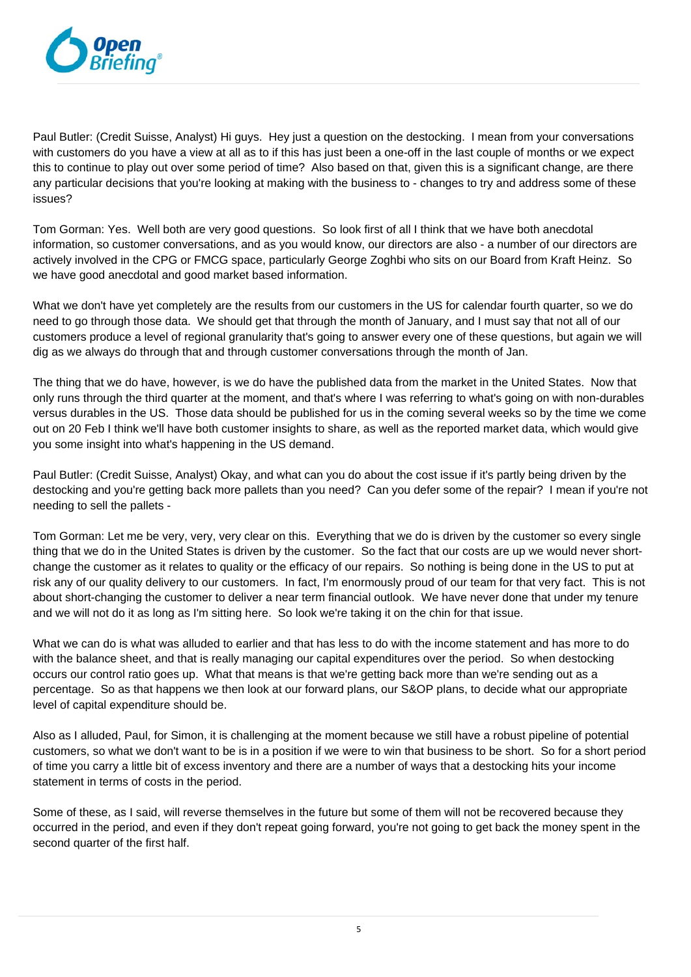

Paul Butler: (Credit Suisse, Analyst) Hi guys. Hey just a question on the destocking. I mean from your conversations with customers do you have a view at all as to if this has just been a one-off in the last couple of months or we expect this to continue to play out over some period of time? Also based on that, given this is a significant change, are there any particular decisions that you're looking at making with the business to - changes to try and address some of these issues?

Tom Gorman: Yes. Well both are very good questions. So look first of all I think that we have both anecdotal information, so customer conversations, and as you would know, our directors are also - a number of our directors are actively involved in the CPG or FMCG space, particularly George Zoghbi who sits on our Board from Kraft Heinz. So we have good anecdotal and good market based information.

What we don't have yet completely are the results from our customers in the US for calendar fourth quarter, so we do need to go through those data. We should get that through the month of January, and I must say that not all of our customers produce a level of regional granularity that's going to answer every one of these questions, but again we will dig as we always do through that and through customer conversations through the month of Jan.

The thing that we do have, however, is we do have the published data from the market in the United States. Now that only runs through the third quarter at the moment, and that's where I was referring to what's going on with non-durables versus durables in the US. Those data should be published for us in the coming several weeks so by the time we come out on 20 Feb I think we'll have both customer insights to share, as well as the reported market data, which would give you some insight into what's happening in the US demand.

Paul Butler: (Credit Suisse, Analyst) Okay, and what can you do about the cost issue if it's partly being driven by the destocking and you're getting back more pallets than you need? Can you defer some of the repair? I mean if you're not needing to sell the pallets -

Tom Gorman: Let me be very, very, very clear on this. Everything that we do is driven by the customer so every single thing that we do in the United States is driven by the customer. So the fact that our costs are up we would never shortchange the customer as it relates to quality or the efficacy of our repairs. So nothing is being done in the US to put at risk any of our quality delivery to our customers. In fact, I'm enormously proud of our team for that very fact. This is not about short-changing the customer to deliver a near term financial outlook. We have never done that under my tenure and we will not do it as long as I'm sitting here. So look we're taking it on the chin for that issue.

What we can do is what was alluded to earlier and that has less to do with the income statement and has more to do with the balance sheet, and that is really managing our capital expenditures over the period. So when destocking occurs our control ratio goes up. What that means is that we're getting back more than we're sending out as a percentage. So as that happens we then look at our forward plans, our S&OP plans, to decide what our appropriate level of capital expenditure should be.

Also as I alluded, Paul, for Simon, it is challenging at the moment because we still have a robust pipeline of potential customers, so what we don't want to be is in a position if we were to win that business to be short. So for a short period of time you carry a little bit of excess inventory and there are a number of ways that a destocking hits your income statement in terms of costs in the period.

Some of these, as I said, will reverse themselves in the future but some of them will not be recovered because they occurred in the period, and even if they don't repeat going forward, you're not going to get back the money spent in the second quarter of the first half.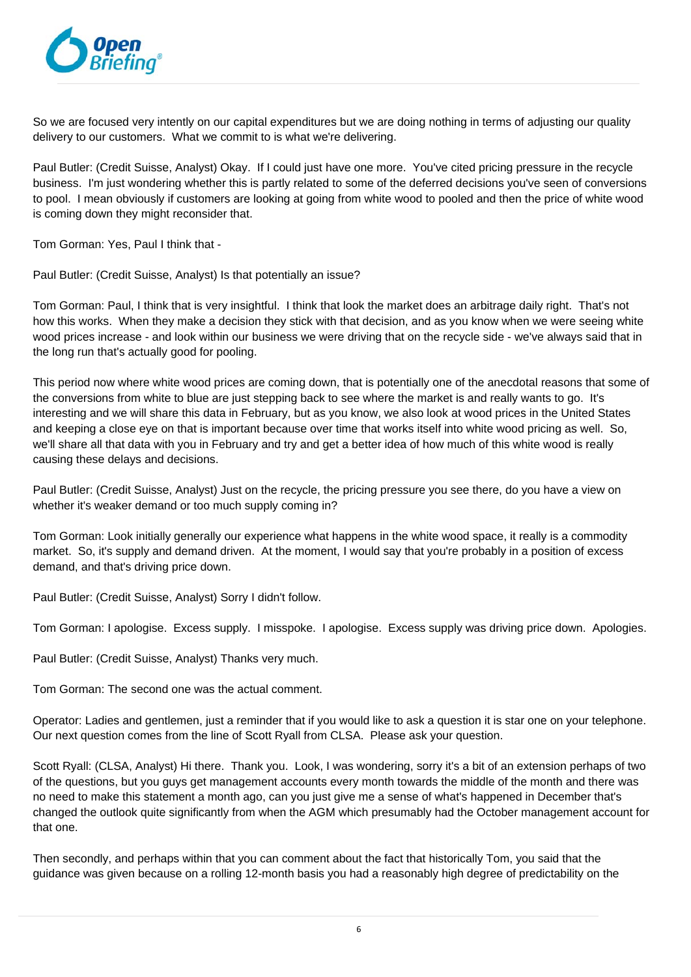

So we are focused very intently on our capital expenditures but we are doing nothing in terms of adjusting our quality delivery to our customers. What we commit to is what we're delivering.

Paul Butler: (Credit Suisse, Analyst) Okay. If I could just have one more. You've cited pricing pressure in the recycle business. I'm just wondering whether this is partly related to some of the deferred decisions you've seen of conversions to pool. I mean obviously if customers are looking at going from white wood to pooled and then the price of white wood is coming down they might reconsider that.

Tom Gorman: Yes, Paul I think that -

Paul Butler: (Credit Suisse, Analyst) Is that potentially an issue?

Tom Gorman: Paul, I think that is very insightful. I think that look the market does an arbitrage daily right. That's not how this works. When they make a decision they stick with that decision, and as you know when we were seeing white wood prices increase - and look within our business we were driving that on the recycle side - we've always said that in the long run that's actually good for pooling.

This period now where white wood prices are coming down, that is potentially one of the anecdotal reasons that some of the conversions from white to blue are just stepping back to see where the market is and really wants to go. It's interesting and we will share this data in February, but as you know, we also look at wood prices in the United States and keeping a close eye on that is important because over time that works itself into white wood pricing as well. So, we'll share all that data with you in February and try and get a better idea of how much of this white wood is really causing these delays and decisions.

Paul Butler: (Credit Suisse, Analyst) Just on the recycle, the pricing pressure you see there, do you have a view on whether it's weaker demand or too much supply coming in?

Tom Gorman: Look initially generally our experience what happens in the white wood space, it really is a commodity market. So, it's supply and demand driven. At the moment, I would say that you're probably in a position of excess demand, and that's driving price down.

Paul Butler: (Credit Suisse, Analyst) Sorry I didn't follow.

Tom Gorman: I apologise. Excess supply. I misspoke. I apologise. Excess supply was driving price down. Apologies.

Paul Butler: (Credit Suisse, Analyst) Thanks very much.

Tom Gorman: The second one was the actual comment.

Operator: Ladies and gentlemen, just a reminder that if you would like to ask a question it is star one on your telephone. Our next question comes from the line of Scott Ryall from CLSA. Please ask your question.

Scott Ryall: (CLSA, Analyst) Hi there. Thank you. Look, I was wondering, sorry it's a bit of an extension perhaps of two of the questions, but you guys get management accounts every month towards the middle of the month and there was no need to make this statement a month ago, can you just give me a sense of what's happened in December that's changed the outlook quite significantly from when the AGM which presumably had the October management account for that one.

Then secondly, and perhaps within that you can comment about the fact that historically Tom, you said that the guidance was given because on a rolling 12-month basis you had a reasonably high degree of predictability on the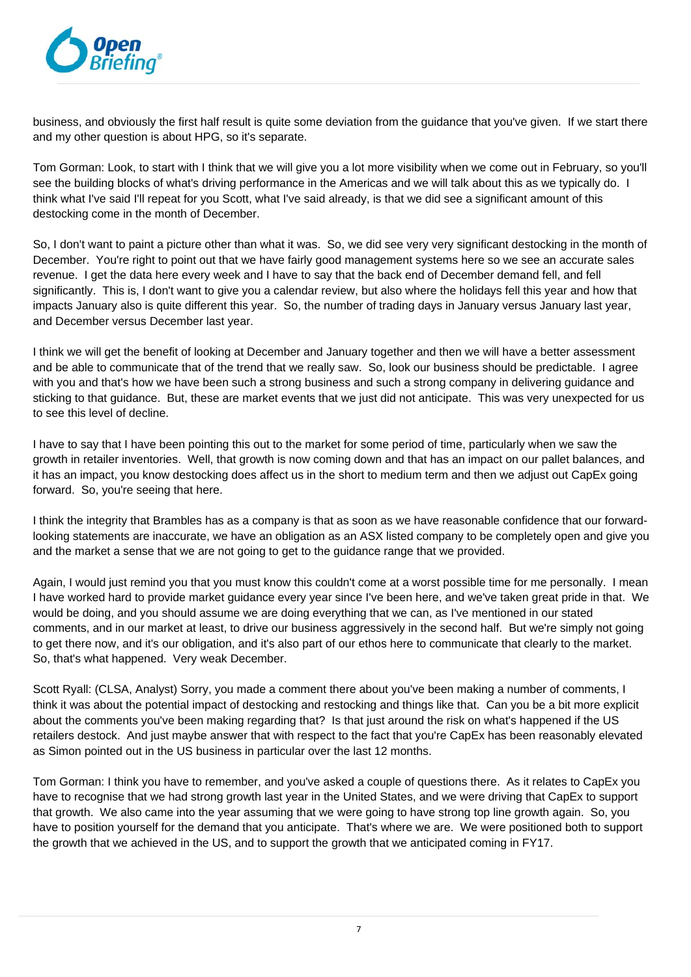

business, and obviously the first half result is quite some deviation from the guidance that you've given. If we start there and my other question is about HPG, so it's separate.

Tom Gorman: Look, to start with I think that we will give you a lot more visibility when we come out in February, so you'll see the building blocks of what's driving performance in the Americas and we will talk about this as we typically do. I think what I've said I'll repeat for you Scott, what I've said already, is that we did see a significant amount of this destocking come in the month of December.

So, I don't want to paint a picture other than what it was. So, we did see very very significant destocking in the month of December. You're right to point out that we have fairly good management systems here so we see an accurate sales revenue. I get the data here every week and I have to say that the back end of December demand fell, and fell significantly. This is, I don't want to give you a calendar review, but also where the holidays fell this year and how that impacts January also is quite different this year. So, the number of trading days in January versus January last year, and December versus December last year.

I think we will get the benefit of looking at December and January together and then we will have a better assessment and be able to communicate that of the trend that we really saw. So, look our business should be predictable. I agree with you and that's how we have been such a strong business and such a strong company in delivering guidance and sticking to that guidance. But, these are market events that we just did not anticipate. This was very unexpected for us to see this level of decline.

I have to say that I have been pointing this out to the market for some period of time, particularly when we saw the growth in retailer inventories. Well, that growth is now coming down and that has an impact on our pallet balances, and it has an impact, you know destocking does affect us in the short to medium term and then we adjust out CapEx going forward. So, you're seeing that here.

I think the integrity that Brambles has as a company is that as soon as we have reasonable confidence that our forwardlooking statements are inaccurate, we have an obligation as an ASX listed company to be completely open and give you and the market a sense that we are not going to get to the guidance range that we provided.

Again, I would just remind you that you must know this couldn't come at a worst possible time for me personally. I mean I have worked hard to provide market guidance every year since I've been here, and we've taken great pride in that. We would be doing, and you should assume we are doing everything that we can, as I've mentioned in our stated comments, and in our market at least, to drive our business aggressively in the second half. But we're simply not going to get there now, and it's our obligation, and it's also part of our ethos here to communicate that clearly to the market. So, that's what happened. Very weak December.

Scott Ryall: (CLSA, Analyst) Sorry, you made a comment there about you've been making a number of comments, I think it was about the potential impact of destocking and restocking and things like that. Can you be a bit more explicit about the comments you've been making regarding that? Is that just around the risk on what's happened if the US retailers destock. And just maybe answer that with respect to the fact that you're CapEx has been reasonably elevated as Simon pointed out in the US business in particular over the last 12 months.

Tom Gorman: I think you have to remember, and you've asked a couple of questions there. As it relates to CapEx you have to recognise that we had strong growth last year in the United States, and we were driving that CapEx to support that growth. We also came into the year assuming that we were going to have strong top line growth again. So, you have to position yourself for the demand that you anticipate. That's where we are. We were positioned both to support the growth that we achieved in the US, and to support the growth that we anticipated coming in FY17.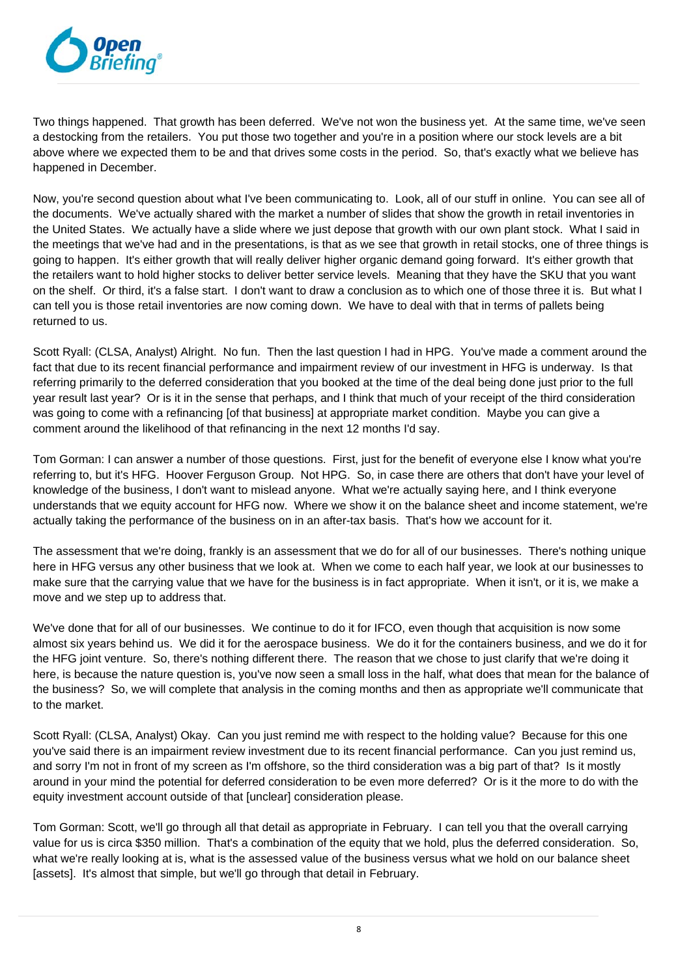

Two things happened. That growth has been deferred. We've not won the business yet. At the same time, we've seen a destocking from the retailers. You put those two together and you're in a position where our stock levels are a bit above where we expected them to be and that drives some costs in the period. So, that's exactly what we believe has happened in December.

Now, you're second question about what I've been communicating to. Look, all of our stuff in online. You can see all of the documents. We've actually shared with the market a number of slides that show the growth in retail inventories in the United States. We actually have a slide where we just depose that growth with our own plant stock. What I said in the meetings that we've had and in the presentations, is that as we see that growth in retail stocks, one of three things is going to happen. It's either growth that will really deliver higher organic demand going forward. It's either growth that the retailers want to hold higher stocks to deliver better service levels. Meaning that they have the SKU that you want on the shelf. Or third, it's a false start. I don't want to draw a conclusion as to which one of those three it is. But what I can tell you is those retail inventories are now coming down. We have to deal with that in terms of pallets being returned to us.

Scott Ryall: (CLSA, Analyst) Alright. No fun. Then the last question I had in HPG. You've made a comment around the fact that due to its recent financial performance and impairment review of our investment in HFG is underway. Is that referring primarily to the deferred consideration that you booked at the time of the deal being done just prior to the full year result last year? Or is it in the sense that perhaps, and I think that much of your receipt of the third consideration was going to come with a refinancing [of that business] at appropriate market condition. Maybe you can give a comment around the likelihood of that refinancing in the next 12 months I'd say.

Tom Gorman: I can answer a number of those questions. First, just for the benefit of everyone else I know what you're referring to, but it's HFG. Hoover Ferguson Group. Not HPG. So, in case there are others that don't have your level of knowledge of the business, I don't want to mislead anyone. What we're actually saying here, and I think everyone understands that we equity account for HFG now. Where we show it on the balance sheet and income statement, we're actually taking the performance of the business on in an after-tax basis. That's how we account for it.

The assessment that we're doing, frankly is an assessment that we do for all of our businesses. There's nothing unique here in HFG versus any other business that we look at. When we come to each half year, we look at our businesses to make sure that the carrying value that we have for the business is in fact appropriate. When it isn't, or it is, we make a move and we step up to address that.

We've done that for all of our businesses. We continue to do it for IFCO, even though that acquisition is now some almost six years behind us. We did it for the aerospace business. We do it for the containers business, and we do it for the HFG joint venture. So, there's nothing different there. The reason that we chose to just clarify that we're doing it here, is because the nature question is, you've now seen a small loss in the half, what does that mean for the balance of the business? So, we will complete that analysis in the coming months and then as appropriate we'll communicate that to the market.

Scott Ryall: (CLSA, Analyst) Okay. Can you just remind me with respect to the holding value? Because for this one you've said there is an impairment review investment due to its recent financial performance. Can you just remind us, and sorry I'm not in front of my screen as I'm offshore, so the third consideration was a big part of that? Is it mostly around in your mind the potential for deferred consideration to be even more deferred? Or is it the more to do with the equity investment account outside of that [unclear] consideration please.

Tom Gorman: Scott, we'll go through all that detail as appropriate in February. I can tell you that the overall carrying value for us is circa \$350 million. That's a combination of the equity that we hold, plus the deferred consideration. So, what we're really looking at is, what is the assessed value of the business versus what we hold on our balance sheet [assets]. It's almost that simple, but we'll go through that detail in February.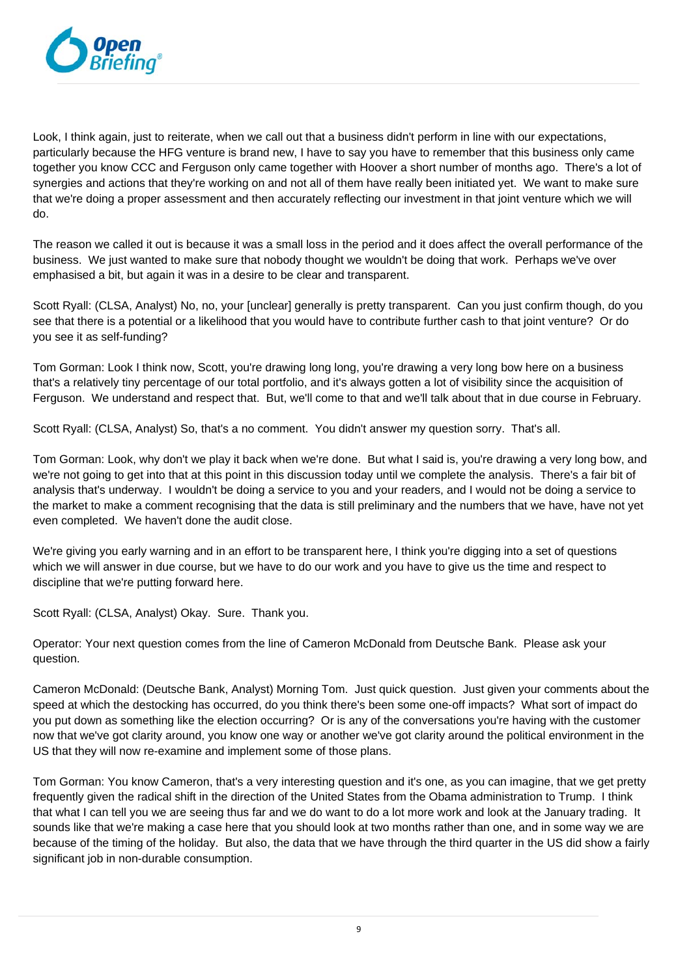

Look, I think again, just to reiterate, when we call out that a business didn't perform in line with our expectations, particularly because the HFG venture is brand new, I have to say you have to remember that this business only came together you know CCC and Ferguson only came together with Hoover a short number of months ago. There's a lot of synergies and actions that they're working on and not all of them have really been initiated yet. We want to make sure that we're doing a proper assessment and then accurately reflecting our investment in that joint venture which we will do.

The reason we called it out is because it was a small loss in the period and it does affect the overall performance of the business. We just wanted to make sure that nobody thought we wouldn't be doing that work. Perhaps we've over emphasised a bit, but again it was in a desire to be clear and transparent.

Scott Ryall: (CLSA, Analyst) No, no, your [unclear] generally is pretty transparent. Can you just confirm though, do you see that there is a potential or a likelihood that you would have to contribute further cash to that joint venture? Or do you see it as self-funding?

Tom Gorman: Look I think now, Scott, you're drawing long long, you're drawing a very long bow here on a business that's a relatively tiny percentage of our total portfolio, and it's always gotten a lot of visibility since the acquisition of Ferguson. We understand and respect that. But, we'll come to that and we'll talk about that in due course in February.

Scott Ryall: (CLSA, Analyst) So, that's a no comment. You didn't answer my question sorry. That's all.

Tom Gorman: Look, why don't we play it back when we're done. But what I said is, you're drawing a very long bow, and we're not going to get into that at this point in this discussion today until we complete the analysis. There's a fair bit of analysis that's underway. I wouldn't be doing a service to you and your readers, and I would not be doing a service to the market to make a comment recognising that the data is still preliminary and the numbers that we have, have not yet even completed. We haven't done the audit close.

We're giving you early warning and in an effort to be transparent here, I think you're digging into a set of questions which we will answer in due course, but we have to do our work and you have to give us the time and respect to discipline that we're putting forward here.

Scott Ryall: (CLSA, Analyst) Okay. Sure. Thank you.

Operator: Your next question comes from the line of Cameron McDonald from Deutsche Bank. Please ask your question.

Cameron McDonald: (Deutsche Bank, Analyst) Morning Tom. Just quick question. Just given your comments about the speed at which the destocking has occurred, do you think there's been some one-off impacts? What sort of impact do you put down as something like the election occurring? Or is any of the conversations you're having with the customer now that we've got clarity around, you know one way or another we've got clarity around the political environment in the US that they will now re-examine and implement some of those plans.

Tom Gorman: You know Cameron, that's a very interesting question and it's one, as you can imagine, that we get pretty frequently given the radical shift in the direction of the United States from the Obama administration to Trump. I think that what I can tell you we are seeing thus far and we do want to do a lot more work and look at the January trading. It sounds like that we're making a case here that you should look at two months rather than one, and in some way we are because of the timing of the holiday. But also, the data that we have through the third quarter in the US did show a fairly significant job in non-durable consumption.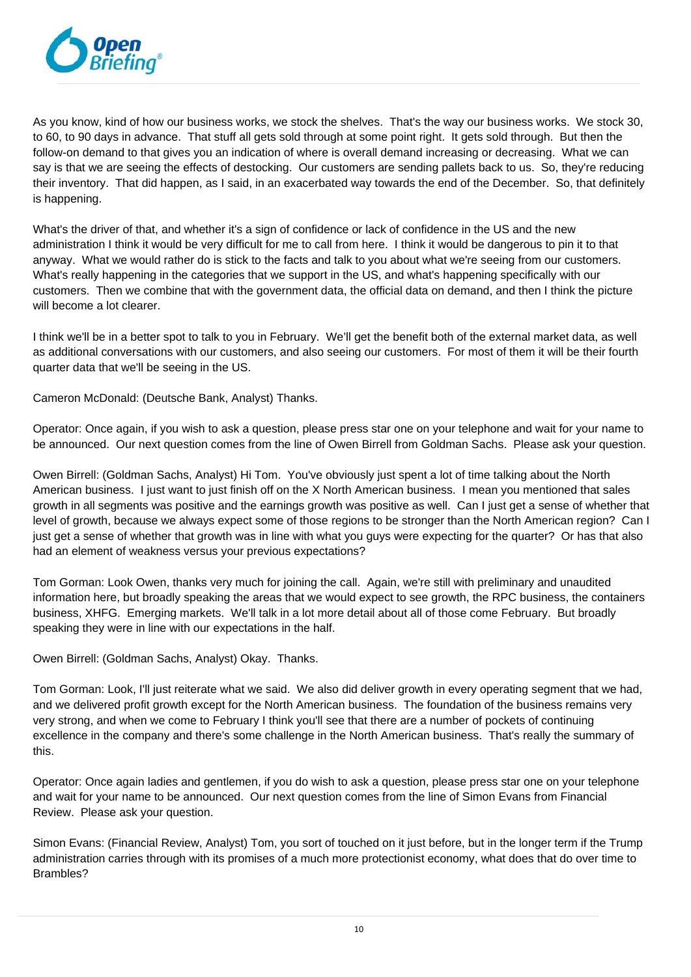

As you know, kind of how our business works, we stock the shelves. That's the way our business works. We stock 30, to 60, to 90 days in advance. That stuff all gets sold through at some point right. It gets sold through. But then the follow-on demand to that gives you an indication of where is overall demand increasing or decreasing. What we can say is that we are seeing the effects of destocking. Our customers are sending pallets back to us. So, they're reducing their inventory. That did happen, as I said, in an exacerbated way towards the end of the December. So, that definitely is happening.

What's the driver of that, and whether it's a sign of confidence or lack of confidence in the US and the new administration I think it would be very difficult for me to call from here. I think it would be dangerous to pin it to that anyway. What we would rather do is stick to the facts and talk to you about what we're seeing from our customers. What's really happening in the categories that we support in the US, and what's happening specifically with our customers. Then we combine that with the government data, the official data on demand, and then I think the picture will become a lot clearer.

I think we'll be in a better spot to talk to you in February. We'll get the benefit both of the external market data, as well as additional conversations with our customers, and also seeing our customers. For most of them it will be their fourth quarter data that we'll be seeing in the US.

Cameron McDonald: (Deutsche Bank, Analyst) Thanks.

Operator: Once again, if you wish to ask a question, please press star one on your telephone and wait for your name to be announced. Our next question comes from the line of Owen Birrell from Goldman Sachs. Please ask your question.

Owen Birrell: (Goldman Sachs, Analyst) Hi Tom. You've obviously just spent a lot of time talking about the North American business. I just want to just finish off on the X North American business. I mean you mentioned that sales growth in all segments was positive and the earnings growth was positive as well. Can I just get a sense of whether that level of growth, because we always expect some of those regions to be stronger than the North American region? Can I just get a sense of whether that growth was in line with what you guys were expecting for the quarter? Or has that also had an element of weakness versus your previous expectations?

Tom Gorman: Look Owen, thanks very much for joining the call. Again, we're still with preliminary and unaudited information here, but broadly speaking the areas that we would expect to see growth, the RPC business, the containers business, XHFG. Emerging markets. We'll talk in a lot more detail about all of those come February. But broadly speaking they were in line with our expectations in the half.

Owen Birrell: (Goldman Sachs, Analyst) Okay. Thanks.

Tom Gorman: Look, I'll just reiterate what we said. We also did deliver growth in every operating segment that we had, and we delivered profit growth except for the North American business. The foundation of the business remains very very strong, and when we come to February I think you'll see that there are a number of pockets of continuing excellence in the company and there's some challenge in the North American business. That's really the summary of this.

Operator: Once again ladies and gentlemen, if you do wish to ask a question, please press star one on your telephone and wait for your name to be announced. Our next question comes from the line of Simon Evans from Financial Review. Please ask your question.

Simon Evans: (Financial Review, Analyst) Tom, you sort of touched on it just before, but in the longer term if the Trump administration carries through with its promises of a much more protectionist economy, what does that do over time to Brambles?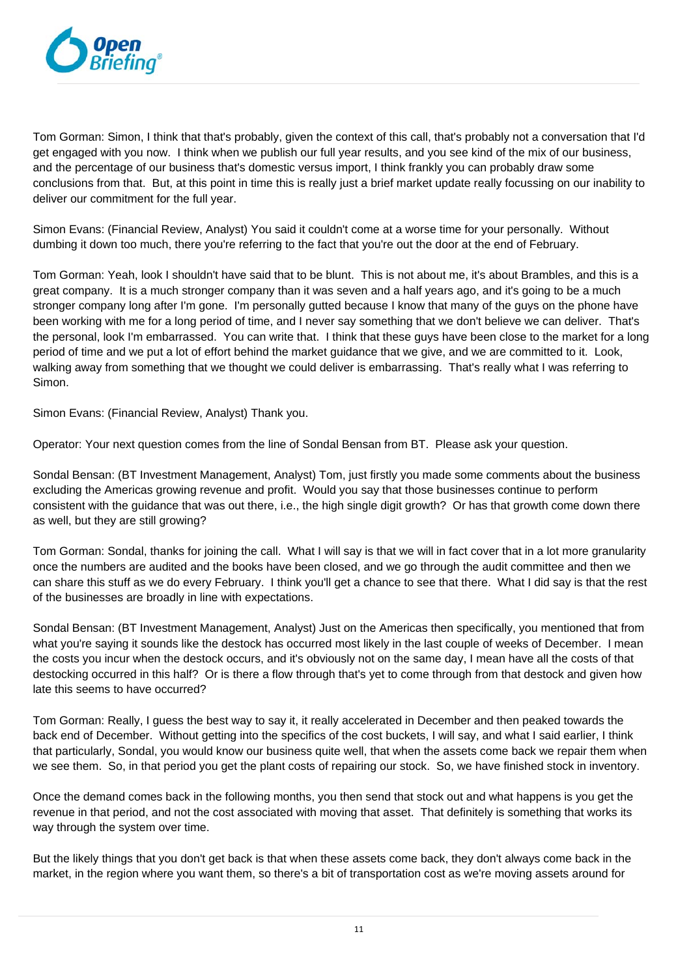

Tom Gorman: Simon, I think that that's probably, given the context of this call, that's probably not a conversation that I'd get engaged with you now. I think when we publish our full year results, and you see kind of the mix of our business, and the percentage of our business that's domestic versus import, I think frankly you can probably draw some conclusions from that. But, at this point in time this is really just a brief market update really focussing on our inability to deliver our commitment for the full year.

Simon Evans: (Financial Review, Analyst) You said it couldn't come at a worse time for your personally. Without dumbing it down too much, there you're referring to the fact that you're out the door at the end of February.

Tom Gorman: Yeah, look I shouldn't have said that to be blunt. This is not about me, it's about Brambles, and this is a great company. It is a much stronger company than it was seven and a half years ago, and it's going to be a much stronger company long after I'm gone. I'm personally gutted because I know that many of the guys on the phone have been working with me for a long period of time, and I never say something that we don't believe we can deliver. That's the personal, look I'm embarrassed. You can write that. I think that these guys have been close to the market for a long period of time and we put a lot of effort behind the market guidance that we give, and we are committed to it. Look, walking away from something that we thought we could deliver is embarrassing. That's really what I was referring to Simon.

Simon Evans: (Financial Review, Analyst) Thank you.

Operator: Your next question comes from the line of Sondal Bensan from BT. Please ask your question.

Sondal Bensan: (BT Investment Management, Analyst) Tom, just firstly you made some comments about the business excluding the Americas growing revenue and profit. Would you say that those businesses continue to perform consistent with the guidance that was out there, i.e., the high single digit growth? Or has that growth come down there as well, but they are still growing?

Tom Gorman: Sondal, thanks for joining the call. What I will say is that we will in fact cover that in a lot more granularity once the numbers are audited and the books have been closed, and we go through the audit committee and then we can share this stuff as we do every February. I think you'll get a chance to see that there. What I did say is that the rest of the businesses are broadly in line with expectations.

Sondal Bensan: (BT Investment Management, Analyst) Just on the Americas then specifically, you mentioned that from what you're saying it sounds like the destock has occurred most likely in the last couple of weeks of December. I mean the costs you incur when the destock occurs, and it's obviously not on the same day, I mean have all the costs of that destocking occurred in this half? Or is there a flow through that's yet to come through from that destock and given how late this seems to have occurred?

Tom Gorman: Really, I guess the best way to say it, it really accelerated in December and then peaked towards the back end of December. Without getting into the specifics of the cost buckets, I will say, and what I said earlier, I think that particularly, Sondal, you would know our business quite well, that when the assets come back we repair them when we see them. So, in that period you get the plant costs of repairing our stock. So, we have finished stock in inventory.

Once the demand comes back in the following months, you then send that stock out and what happens is you get the revenue in that period, and not the cost associated with moving that asset. That definitely is something that works its way through the system over time.

But the likely things that you don't get back is that when these assets come back, they don't always come back in the market, in the region where you want them, so there's a bit of transportation cost as we're moving assets around for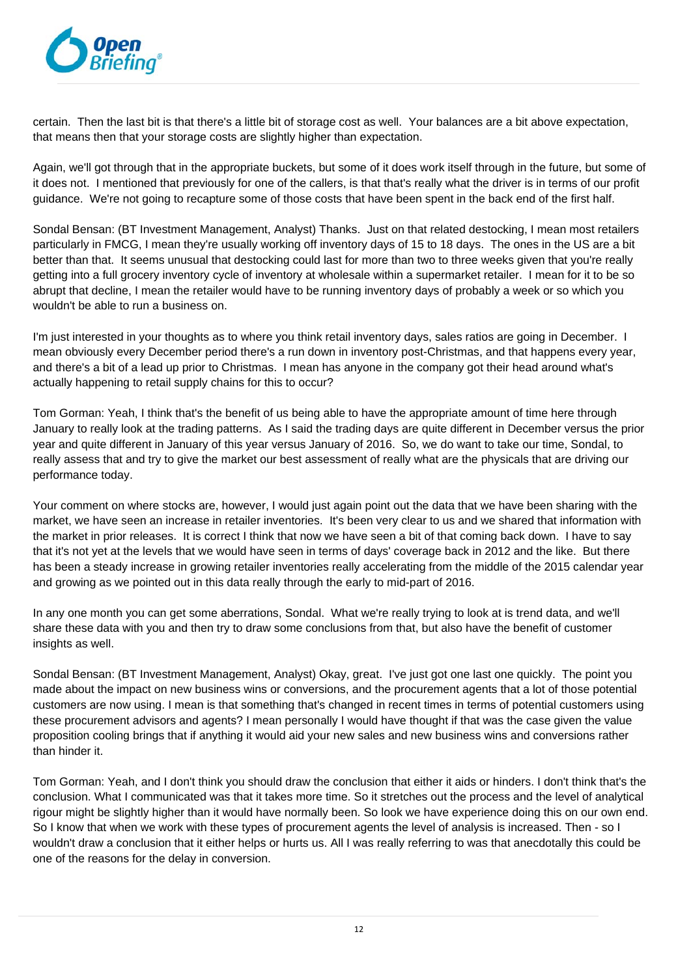

certain. Then the last bit is that there's a little bit of storage cost as well. Your balances are a bit above expectation, that means then that your storage costs are slightly higher than expectation.

Again, we'll got through that in the appropriate buckets, but some of it does work itself through in the future, but some of it does not. I mentioned that previously for one of the callers, is that that's really what the driver is in terms of our profit guidance. We're not going to recapture some of those costs that have been spent in the back end of the first half.

Sondal Bensan: (BT Investment Management, Analyst) Thanks. Just on that related destocking, I mean most retailers particularly in FMCG, I mean they're usually working off inventory days of 15 to 18 days. The ones in the US are a bit better than that. It seems unusual that destocking could last for more than two to three weeks given that you're really getting into a full grocery inventory cycle of inventory at wholesale within a supermarket retailer. I mean for it to be so abrupt that decline, I mean the retailer would have to be running inventory days of probably a week or so which you wouldn't be able to run a business on.

I'm just interested in your thoughts as to where you think retail inventory days, sales ratios are going in December. I mean obviously every December period there's a run down in inventory post-Christmas, and that happens every year, and there's a bit of a lead up prior to Christmas. I mean has anyone in the company got their head around what's actually happening to retail supply chains for this to occur?

Tom Gorman: Yeah, I think that's the benefit of us being able to have the appropriate amount of time here through January to really look at the trading patterns. As I said the trading days are quite different in December versus the prior year and quite different in January of this year versus January of 2016. So, we do want to take our time, Sondal, to really assess that and try to give the market our best assessment of really what are the physicals that are driving our performance today.

Your comment on where stocks are, however, I would just again point out the data that we have been sharing with the market, we have seen an increase in retailer inventories. It's been very clear to us and we shared that information with the market in prior releases. It is correct I think that now we have seen a bit of that coming back down. I have to say that it's not yet at the levels that we would have seen in terms of days' coverage back in 2012 and the like. But there has been a steady increase in growing retailer inventories really accelerating from the middle of the 2015 calendar year and growing as we pointed out in this data really through the early to mid-part of 2016.

In any one month you can get some aberrations, Sondal. What we're really trying to look at is trend data, and we'll share these data with you and then try to draw some conclusions from that, but also have the benefit of customer insights as well.

Sondal Bensan: (BT Investment Management, Analyst) Okay, great. I've just got one last one quickly. The point you made about the impact on new business wins or conversions, and the procurement agents that a lot of those potential customers are now using. I mean is that something that's changed in recent times in terms of potential customers using these procurement advisors and agents? I mean personally I would have thought if that was the case given the value proposition cooling brings that if anything it would aid your new sales and new business wins and conversions rather than hinder it.

Tom Gorman: Yeah, and I don't think you should draw the conclusion that either it aids or hinders. I don't think that's the conclusion. What I communicated was that it takes more time. So it stretches out the process and the level of analytical rigour might be slightly higher than it would have normally been. So look we have experience doing this on our own end. So I know that when we work with these types of procurement agents the level of analysis is increased. Then - so I wouldn't draw a conclusion that it either helps or hurts us. All I was really referring to was that anecdotally this could be one of the reasons for the delay in conversion.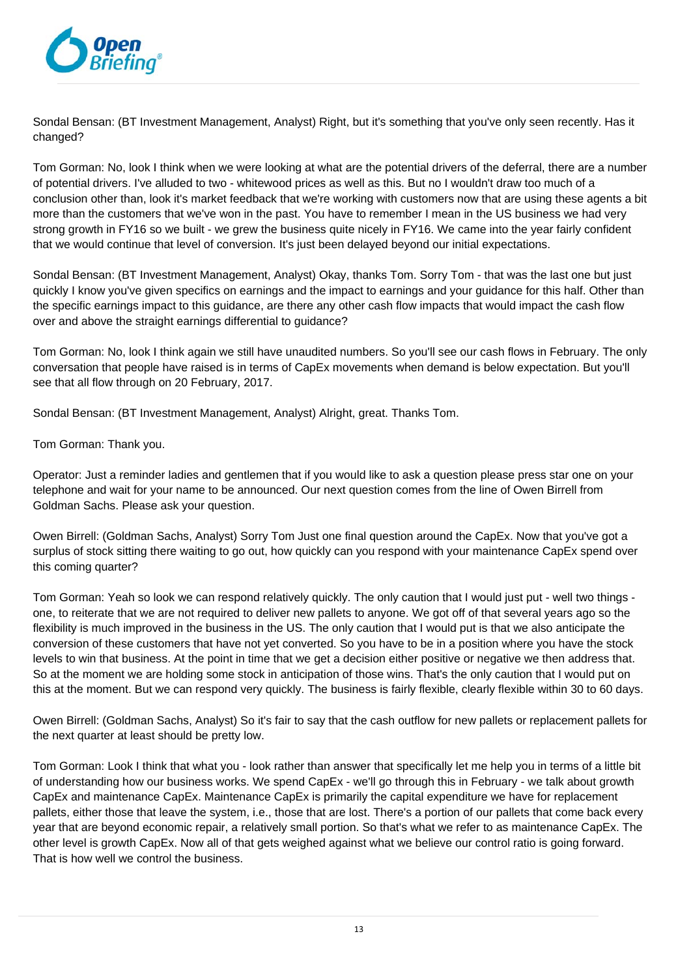

Sondal Bensan: (BT Investment Management, Analyst) Right, but it's something that you've only seen recently. Has it changed?

Tom Gorman: No, look I think when we were looking at what are the potential drivers of the deferral, there are a number of potential drivers. I've alluded to two - whitewood prices as well as this. But no I wouldn't draw too much of a conclusion other than, look it's market feedback that we're working with customers now that are using these agents a bit more than the customers that we've won in the past. You have to remember I mean in the US business we had very strong growth in FY16 so we built - we grew the business quite nicely in FY16. We came into the year fairly confident that we would continue that level of conversion. It's just been delayed beyond our initial expectations.

Sondal Bensan: (BT Investment Management, Analyst) Okay, thanks Tom. Sorry Tom - that was the last one but just quickly I know you've given specifics on earnings and the impact to earnings and your guidance for this half. Other than the specific earnings impact to this guidance, are there any other cash flow impacts that would impact the cash flow over and above the straight earnings differential to guidance?

Tom Gorman: No, look I think again we still have unaudited numbers. So you'll see our cash flows in February. The only conversation that people have raised is in terms of CapEx movements when demand is below expectation. But you'll see that all flow through on 20 February, 2017.

Sondal Bensan: (BT Investment Management, Analyst) Alright, great. Thanks Tom.

Tom Gorman: Thank you.

Operator: Just a reminder ladies and gentlemen that if you would like to ask a question please press star one on your telephone and wait for your name to be announced. Our next question comes from the line of Owen Birrell from Goldman Sachs. Please ask your question.

Owen Birrell: (Goldman Sachs, Analyst) Sorry Tom Just one final question around the CapEx. Now that you've got a surplus of stock sitting there waiting to go out, how quickly can you respond with your maintenance CapEx spend over this coming quarter?

Tom Gorman: Yeah so look we can respond relatively quickly. The only caution that I would just put - well two things one, to reiterate that we are not required to deliver new pallets to anyone. We got off of that several years ago so the flexibility is much improved in the business in the US. The only caution that I would put is that we also anticipate the conversion of these customers that have not yet converted. So you have to be in a position where you have the stock levels to win that business. At the point in time that we get a decision either positive or negative we then address that. So at the moment we are holding some stock in anticipation of those wins. That's the only caution that I would put on this at the moment. But we can respond very quickly. The business is fairly flexible, clearly flexible within 30 to 60 days.

Owen Birrell: (Goldman Sachs, Analyst) So it's fair to say that the cash outflow for new pallets or replacement pallets for the next quarter at least should be pretty low.

Tom Gorman: Look I think that what you - look rather than answer that specifically let me help you in terms of a little bit of understanding how our business works. We spend CapEx - we'll go through this in February - we talk about growth CapEx and maintenance CapEx. Maintenance CapEx is primarily the capital expenditure we have for replacement pallets, either those that leave the system, i.e., those that are lost. There's a portion of our pallets that come back every year that are beyond economic repair, a relatively small portion. So that's what we refer to as maintenance CapEx. The other level is growth CapEx. Now all of that gets weighed against what we believe our control ratio is going forward. That is how well we control the business.